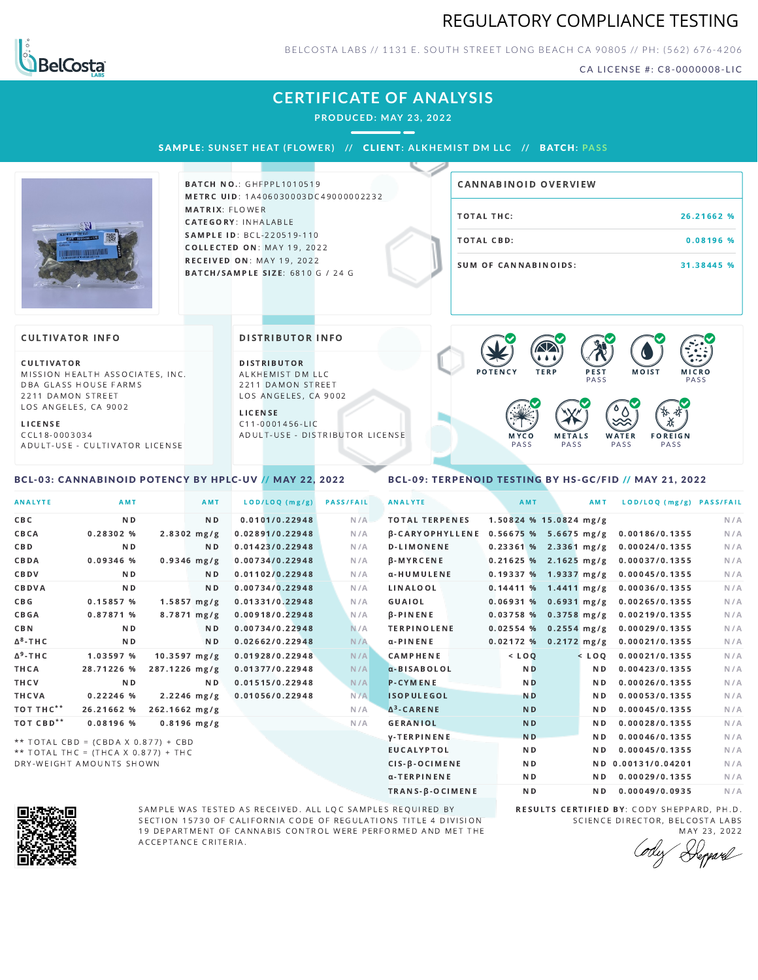## REGULATORY COMPLIANCE TESTING



BELCOSTA LABS // 1131 E. SOUTH STREET LONG BEACH C A 90805 // PH: (562) 676-4206

CA LICENSE #: C8-0000008-LIC

# **CERTIFICATE OF ANALYSIS**

**PRODUCED: MAY 23, 2022**

SAMPLE: SUNSET HEAT (FLOWER) // CLIENT: ALKHEMIST DM LLC // BATCH: PASS



**BATCH NO.: GHFPPL1010519** METRC UID: 1A406030003DC49000002232 MATRIX: FLOWER CATEGORY: INHALABLE SAMPLE ID: BCL-220519-110 COLLECTED ON: MAY 19, 2022 RECEIVED ON: MAY 19, 2022 BATCH/SAMPLE SIZE: 6810 G / 24 G

# TOTAL THC: 26.21662 % TOTAL CBD: 0.08196 % SUM OF CANNABINOIDS: 31.38445 % CANNABINOID OVERVIEW

#### **CULTIVATOR INFO**

CULTIVATOR MISSION HEALTH ASSOCIATES, INC. DBA GLASS HOUSE FARMS 2211 DAMON STREET LOS ANGELES, CA 9002

L I C E N S E

C C L 1 8 - 0 0 0 3 0 3 4 A D U L T - U S E - C U L T I V A T O R L I CENSE

<span id="page-0-0"></span>BCL-03: CANNABINOID POTENCY BY HPLC-UV // MAY 22, 2022

#### DISTRIBUTOR INFO

D I STRIBUTOR ALKHEMIST DM LLC 2211 DAMON STREET LOS ANGELES, CA 9002

L I C E N S E C 1 1 - 0 0 0 1 4 5 6 - L I C A D U L T - U S E - D I STRIBUTOR LICENSE



### <span id="page-0-1"></span>BCL-09: TERPENOID TESTING BY HS-GC/FID // MAY 21, 2022

| <b>ANALYTE</b>        | <b>AMT</b>                          | <b>AMT</b>     | LOD/LOQ (mg/g)  | <b>PASS/FAIL</b> | <b>ANALYTE</b>         | AMT            | AMT                       | LOD/LOQ (mg/g) PASS/FAIL |     |
|-----------------------|-------------------------------------|----------------|-----------------|------------------|------------------------|----------------|---------------------------|--------------------------|-----|
| C B C                 | N <sub>D</sub>                      | N <sub>D</sub> | 0.0101/0.22948  | N/A              | <b>TOTAL TERPENES</b>  |                | 1.50824 % 15.0824 mg/g    |                          | N/A |
| CBCA                  | 0.28302 %                           | $2.8302$ mg/g  | 0.02891/0.22948 | N/A              | <b>B-CARYOPHYLLENE</b> |                | $0.56675%$ 5.6675 mg/g    | 0.00186/0.1355           | N/A |
| C B D                 | N <sub>D</sub>                      | N <sub>D</sub> | 0.01423/0.22948 | N/A              | <b>D-LIMONENE</b>      |                | $0.23361%$ 2.3361 mg/g    | 0.00024/0.1355           | N/A |
| CBDA                  | 0.09346 %                           | $0.9346$ mg/g  | 0.00734/0.22948 | N/A              | β-MYRCENE              |                | $0.21625$ % 2.1625 mg/g   | 0.00037/0.1355           | N/A |
| CBDV                  | N <sub>D</sub>                      | N <sub>D</sub> | 0.01102/0.22948 | N/A              | α-HUMULENE             |                | 0.19337 % 1.9337 mg/g     | 0.00045/0.1355           | N/A |
| CBDVA                 | N <sub>D</sub>                      | N <sub>D</sub> | 0.00734/0.22948 | N/A              | LINALOOL               |                | $0.14411%$ 1.4411 mg/g    | 0.00036/0.1355           | N/A |
| C B G                 | 0.15857%                            | $1.5857$ mg/g  | 0.01331/0.22948 | N/A              | GUAIOL                 |                | $0.06931%$ 0.6931 mg/g    | 0.00265/0.1355           | N/A |
| <b>CBGA</b>           | 0.87871 %                           | $8.7871$ mg/g  | 0.00918/0.22948 | N/A              | $\beta$ -PINENE        |                | $0.03758$ % 0.3758 mg/g   | 0.00219/0.1355           | N/A |
| <b>CBN</b>            | N <sub>D</sub>                      | N D            | 0.00734/0.22948 | N/A              | <b>TERPINOLENE</b>     |                | $0.02554$ % 0.2554 mg/g   | 0.00029/0.1355           | N/A |
| $\Delta^8$ -THC       | ND.                                 | N <sub>D</sub> | 0.02662/0.22948 | N/A              | $\alpha$ -PINENE       |                | $0.02172$ % $0.2172$ mg/g | 0.00021/0.1355           | N/A |
| ∆ <sup>9</sup> -ТНС   | 1.03597 %                           | $10.3597$ mg/g | 0.01928/0.22948 | N/A              | <b>CAMPHENE</b>        | $<$ LOO        | $<$ LOO                   | 0.00021/0.1355           | N/A |
| THCA                  | 28.71226 %                          | 287.1226 mg/g  | 0.01377/0.22948 | N/A              | a-BISABOLOL            | N <sub>D</sub> | N <sub>D</sub>            | 0.00423/0.1355           | N/A |
| THCV                  | N <sub>D</sub>                      | N <sub>D</sub> | 0.01515/0.22948 | N/A              | <b>P-CYMENE</b>        | <b>ND</b>      | N <sub>D</sub>            | 0.00026/0.1355           | N/A |
| THCVA                 | $0.22246$ %                         | $2.2246$ mg/g  | 0.01056/0.22948 | N/A              | <b>ISOPULEGOL</b>      | <b>ND</b>      | N <sub>D</sub>            | 0.00053/0.1355           | N/A |
| тот тнс**             | 26.21662 %                          | 262.1662 mg/g  |                 | N/A              | $\Delta^3$ -CARENE     | <b>ND</b>      | N <sub>D</sub>            | 0.00045/0.1355           | N/A |
| TOT CBD <sup>**</sup> | 0.08196 %                           | $0.8196$ mg/g  |                 | N/A              | <b>GERANIOL</b>        | <b>ND</b>      | N <sub>D</sub>            | 0.00028/0.1355           | N/A |
|                       | ** TOTAL CBD = (CBDA X 0.877) + CBD |                |                 |                  | <b>V-TERPINENE</b>     | <b>ND</b>      | N <sub>D</sub>            | 0.00046/0.1355           | N/A |
|                       | ** TOTAL THC = (THCA X 0 877) + THC |                |                 |                  | <b>EUCALYPTOL</b>      | N <sub>D</sub> | N <sub>D</sub>            | 0.00045/0.1355           | N/A |

T T A L T H C = (T H C A X 0.877) DRY-WEIGHT AMOUNTS SHOWN



SAMPLE WAS TESTED AS RECEIVED. ALL LQC SAMPLES REQUIRED BY SECTION 15730 OF CALIFORNIA CODE OF REGULATIONS TITLE 4 DIVISION 19 DEPARTMENT OF CANNABIS CONTROL WERE PERFORMED AND MET THE A C C E P T A N C E C R I T E R I A.

RESULTS CERTIFIED BY: CODY SHEPPARD, PH.D. SCIENCE DIRECTOR, BELCOSTA LABS MAY 23, 2022

CIS-β-OCIMENE ND ND ND 0.00131/0.04201 N/A α-TERPINENE **ND ND 0.00029/0.1355** N/A TRANS-β-OCIMENE ND ND 0.00049/0.0935 N/A

Depard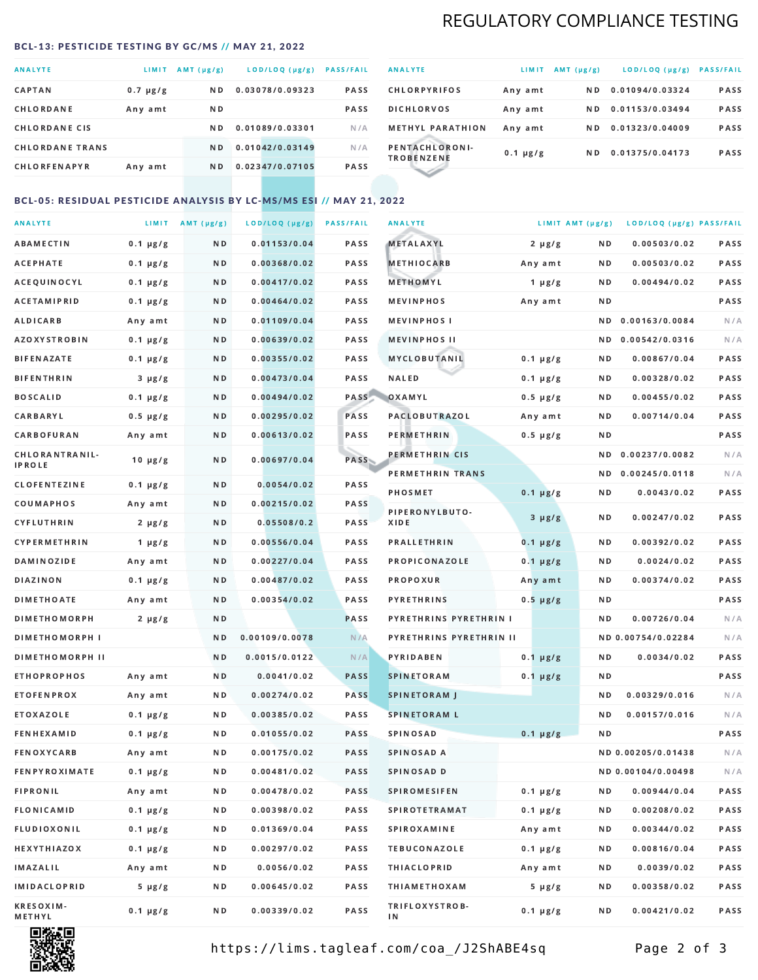# REGULATORY COMPLIANCE TESTING

#### <span id="page-1-0"></span>BCL-13: PESTICIDE TESTING BY GC/MS // MAY 21, 2022

| <b>ANALYTE</b>         | <b>LIMIT</b>  | $AMT(\mu g/g)$ | LOD/LOQ (µg/g)  | <b>PASS/FAIL</b> |
|------------------------|---------------|----------------|-----------------|------------------|
| <b>CAPTAN</b>          | $0.7 \mu g/g$ | ND.            | 0.03078/0.09323 | PASS             |
| CHLORDANE              | Any amt       | ND.            |                 | <b>PASS</b>      |
| <b>CHLORDANE CIS</b>   |               | ND.            | 0.01089/0.03301 | N/A              |
| <b>CHLORDANE TRANS</b> |               | N <sub>D</sub> | 0.01042/0.03149 | N/A              |
| <b>CHLORFENAPYR</b>    | Any amt       | ND.            | 0.02347/0.07105 | <b>PASS</b>      |

| <b>ANALYTE</b>                      | LIMIT         | $AMT(\mu g/g)$ | LOD/LOQ (µg/g)  | <b>PASS/FAIL</b> |
|-------------------------------------|---------------|----------------|-----------------|------------------|
| <b>CHLORPYRIFOS</b>                 | Any amt       | N D            | 0.01094/0.03324 | <b>PASS</b>      |
| <b>DICHLORVOS</b>                   | Any amt       | N D.           | 0.01153/0.03494 | PASS             |
| <b>METHYL PARATHION</b>             | Any amt       | ND.            | 0.01323/0.04009 | <b>PASS</b>      |
| PENTACHLORONI-<br><b>TROBENZENE</b> | $0.1 \mu g/g$ | ND.            | 0.01375/0.04173 | <b>PASS</b>      |
|                                     |               |                |                 |                  |

### BCL-05: RESIDUAL PESTICIDE ANALYSIS BY LC-MS/MS ESI // MAY 21, 2022

| <b>ANALYTE</b>             |               | LIMIT AMT $(\mu g/g)$ | LOD/LOQ (µg/g) | <b>PASS/FAIL</b> | <b>ANALYTE</b>          |               | LIMIT AMT (µg/g) | LOD/LOQ (µg/g) PASS/FAIL |      |
|----------------------------|---------------|-----------------------|----------------|------------------|-------------------------|---------------|------------------|--------------------------|------|
| ABAMECTIN                  | $0.1 \mu g/g$ | N D                   | 0.01153/0.04   | PASS             | <b>METALAXYL</b>        | $2 \mu g/g$   | N D              | 0.00503/0.02             | PASS |
| <b>ACEPHATE</b>            | $0.1 \mu g/g$ | N D                   | 0.00368/0.02   | PASS             | <b>METHIOCARB</b>       | Any amt       | N D              | 0.00503/0.02             | PASS |
| ACEQUINOCYL                | $0.1 \mu g/g$ | N D                   | 0.00417/0.02   | PASS             | METHOMYL                | 1 $\mu$ g/g   | N D              | 0.00494/0.02             | PASS |
| ACETAMIPRID                | $0.1 \mu g/g$ | N D                   | 0.00464/0.02   | PASS             | <b>MEVINPHOS</b>        | Any amt       | N D              |                          | PASS |
| <b>ALDICARB</b>            | Any amt       | N D                   | 0.01109/0.04   | PASS             | <b>MEVINPHOSI</b>       |               | N D              | 0.00163/0.0084           | N/A  |
| <b>AZOXYSTROBIN</b>        | $0.1 \mu g/g$ | N D                   | 0.00639/0.02   | PASS             | <b>MEVINPHOS II</b>     |               | N D              | 0.00542/0.0316           | N/A  |
| <b>BIFENAZATE</b>          | $0.1 \mu g/g$ | N D                   | 0.00355/0.02   | PASS             | <b>MYCLOBUTANIL</b>     | $0.1 \mu g/g$ | N D              | 0.00867/0.04             | PASS |
| <b>BIFENTHRIN</b>          | $3 \mu g/g$   | N D                   | 0.00473/0.04   | PASS             | <b>NALED</b>            | $0.1 \mu g/g$ | N D              | 0.00328/0.02             | PASS |
| <b>BOSCALID</b>            | $0.1 \mu g/g$ | N D                   | 0.00494/0.02   | PASS             | OXAMYL                  | $0.5 \mu g/g$ | N D              | 0.00455/0.02             | PASS |
| CARBARYL                   | $0.5 \mu g/g$ | N D                   | 0.00295/0.02   | PASS             | <b>PACLOBUTRAZOL</b>    | Any amt       | N D              | 0.00714/0.04             | PASS |
| CARBOFURAN                 | Any amt       | N D                   | 0.00613/0.02   | PASS             | PERMETHRIN              | $0.5 \mu g/g$ | N D              |                          | PASS |
| CHLORANTRANIL-             | $10 \mu g/g$  | N D                   | 0.00697/0.04   | PASS             | PERMETHRIN CIS          |               | ND.              | 0.00237/0.0082           | N/A  |
| <b>IPROLE</b>              |               |                       |                |                  | PERMETHRIN TRANS        |               |                  | ND 0.00245/0.0118        | N/A  |
| <b>CLOFENTEZINE</b>        | $0.1 \mu g/g$ | ND.                   | 0.0054/0.02    | PASS             | <b>PHOSMET</b>          | $0.1 \mu g/g$ | N D              | 0.0043/0.02              | PASS |
| COUMAPHOS                  | Any amt       | N D                   | 0.00215/0.02   | <b>PASS</b>      | PIPERONYLBUTO-          | $3 \mu g/g$   | N D              | 0.00247/0.02             | PASS |
| CYFLUTHRIN                 | $2 \mu g/g$   | N D                   | 0.05508/0.2    | <b>PASS</b>      | XIDE                    |               |                  |                          |      |
| <b>CYPERMETHRIN</b>        | $1 \mu g/g$   | N D                   | 0.00556/0.04   | PASS             | <b>PRALLETHRIN</b>      | $0.1 \mu g/g$ | N D              | 0.00392/0.02             | PASS |
| <b>DAMINOZIDE</b>          | Any amt       | N D                   | 0.00227/0.04   | PASS             | PROPICONAZOLE           | $0.1 \mu g/g$ | N D              | 0.0024/0.02              | PASS |
| DIAZINON                   | $0.1 \mu g/g$ | N D                   | 0.00487/0.02   | <b>PASS</b>      | <b>PROPOXUR</b>         | Any amt       | N D              | 0.00374/0.02             | PASS |
| <b>DIMETHOATE</b>          | Any amt       | N D                   | 0.00354/0.02   | PASS             | <b>PYRETHRINS</b>       | $0.5 \mu g/g$ | N D              |                          | PASS |
| <b>DIMETHOMORPH</b>        | $2 \mu g/g$   | N D                   |                | PASS             | PYRETHRINS PYRETHRIN I  |               | ND.              | 0.00726/0.04             | N/A  |
| <b>DIMETHOMORPH I</b>      |               | N D                   | 0.00109/0.0078 | N/A              | PYRETHRINS PYRETHRIN II |               |                  | ND 0.00754/0.02284       | N/A  |
| <b>DIMETHOMORPH II</b>     |               | N D                   | 0.0015/0.0122  | N/A              | <b>PYRIDABEN</b>        | $0.1 \mu g/g$ | N D              | 0.0034/0.02              | PASS |
| <b>ETHOPROPHOS</b>         | Any amt       | N D                   | 0.0041/0.02    | <b>PASS</b>      | <b>SPINETORAM</b>       | $0.1 \mu g/g$ | N D              |                          | PASS |
| <b>ETOFENPROX</b>          | Any amt       | ND.                   | 0.00274/0.02   | <b>PASS</b>      | <b>SPINETORAM J</b>     |               | N D              | 0.00329/0.016            | N/A  |
| ETOXAZOLE                  | $0.1 \mu g/g$ | N D                   | 0.00385/0.02   | PASS             | <b>SPINETORAM L</b>     |               | N D              | 0.00157/0.016            | N/A  |
| <b>FENHEXAMID</b>          | $0.1 \mu g/g$ | N D                   | 0.01055/0.02   | PASS             | <b>SPINOSAD</b>         | $0.1 \mu g/g$ | N D              |                          | PASS |
| <b>FENOXYCARB</b>          | Any amt       | N D                   | 0.00175/0.02   | <b>PASS</b>      | SPINOSAD A              |               |                  | ND 0.00205/0.01438       | N/A  |
| <b>FENPYROXIMATE</b>       | $0.1 \mu g/g$ | N D                   | 0.00481/0.02   | PASS             | SPINOSAD D              |               |                  | ND 0.00104/0.00498       | N/A  |
| <b>FIPRONIL</b>            | Any amt       | N D                   | 0.00478/0.02   | PASS             | <b>SPIROMESIFEN</b>     | $0.1 \mu g/g$ | N D              | 0.00944/0.04             | PASS |
| FLONICAMID                 | $0.1 \mu g/g$ | N D                   | 0.00398/0.02   | PASS             | SPIROTETRAMAT           | $0.1 \mu g/g$ | N D              | 0.00208/0.02             | PASS |
| FLUDIOXONIL                | $0.1 \mu g/g$ | N D                   | 0.01369/0.04   | PASS             | <b>SPIROXAMINE</b>      | Any amt       | N D              | 0.00344/0.02             | PASS |
| HEXYTHIAZOX                | $0.1 \mu g/g$ | N D                   | 0.00297/0.02   | PASS             | <b>TEBUCONAZOLE</b>     | $0.1 \mu g/g$ | N D              | 0.00816/0.04             | PASS |
| IMAZALIL                   | Any amt       | N D                   | 0.0056/0.02    | PASS             | <b>THIACLOPRID</b>      | Any amt       | N D              | 0.0039/0.02              | PASS |
| <b>IMIDACLOPRID</b>        | $5 \mu g/g$   | N D                   | 0.00645/0.02   | PASS             | <b>THIAMETHOXAM</b>     | $5 \mu g/g$   | N D              | 0.00358/0.02             | PASS |
| <b>KRESOXIM-</b><br>METHYL | $0.1 \mu g/g$ | N D                   | 0.00339/0.02   | PASS             | TRIFLOXYSTROB-<br>ΙN    | $0.1 \mu g/g$ | N D              | 0.00421/0.02             | PASS |